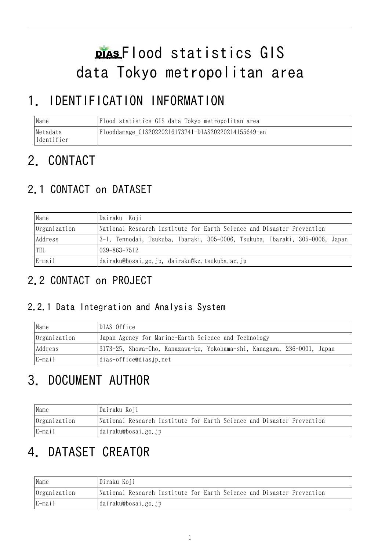# Flood statistics GIS data Tokyo metropolitan area

# 1. IDENTIFICATION INFORMATION

| Name                    | Flood statistics GIS data Tokyo metropolitan area   |  |
|-------------------------|-----------------------------------------------------|--|
| Metadata<br>lIdentifier | Flooddamage GIS20220216173741-DIAS20220214155649-en |  |

# 2. CONTACT

# 2.1 CONTACT on DATASET

| Name         | Dairaku Koji                                                                 |  |  |
|--------------|------------------------------------------------------------------------------|--|--|
| Organization | National Research Institute for Earth Science and Disaster Prevention        |  |  |
| Address      | 3-1, Tennodai, Tsukuba, Ibaraki, 305-0006, Tsukuba, Ibaraki, 305-0006, Japan |  |  |
| TEL          | 029–863–7512                                                                 |  |  |
| E-mail       | dairaku@bosai.go.jp, dairaku@kz.tsukuba.ac.jp                                |  |  |

# 2.2 CONTACT on PROJECT

### 2.2.1 Data Integration and Analysis System

| Name         | DIAS Office                                                              |  |  |
|--------------|--------------------------------------------------------------------------|--|--|
| Organization | Japan Agency for Marine-Earth Science and Technology                     |  |  |
| Address      | 3173-25, Showa-Cho, Kanazawa-ku, Yokohama-shi, Kanagawa, 236-0001, Japan |  |  |
| E-mail       | dias-office@diasjp.net                                                   |  |  |

# 3. DOCUMENT AUTHOR

| Name         | Dairaku Koji                                                          |  |
|--------------|-----------------------------------------------------------------------|--|
| Organization | National Research Institute for Earth Science and Disaster Prevention |  |
| E-mail       | dairaku@bosai.go.jp                                                   |  |

# 4. DATASET CREATOR

| Name         | Diraku Koji                                                           |
|--------------|-----------------------------------------------------------------------|
| Organization | National Research Institute for Earth Science and Disaster Prevention |
| E-mail       | dairaku@bosai.go.jp                                                   |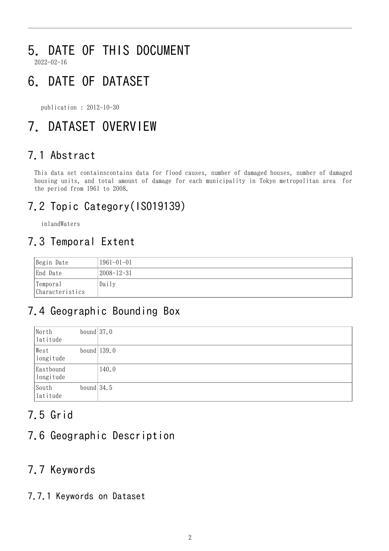# 5. DATE OF THIS DOCUMENT

2022-02-16

# 6. DATE OF DATASET

publication : 2012-10-30

# 7. DATASET OVERVIEW

## 7.1 Abstract

This data set containscontains data for flood causes, number of damaged houses, number of damaged housing units, and total amount of damage for each municipality in Tokyo metropolitan area for the period from 1961 to 2008.

# 7.2 Topic Category(ISO19139)

inlandWaters

### 7.3 Temporal Extent

| Begin Date                  | $1961 - 01 - 01$ |
|-----------------------------|------------------|
| End Date                    | 2008-12-31       |
| Temporal<br>Characteristics | Daily            |

# 7.4 Geographic Bounding Box

| North<br>latitude      | bound $37.0$  |       |
|------------------------|---------------|-------|
| West<br>longitude      | bound $139.0$ |       |
| Eastbound<br>longitude |               | 140.0 |
| South<br>latitude      | bound $34.5$  |       |

### 7.5 Grid

### 7.6 Geographic Description

### 7.7 Keywords

7.7.1 Keywords on Dataset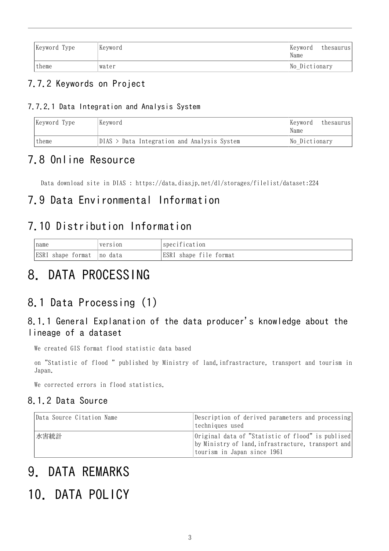| Keyword Type | Keyword | Keyword<br>Name | thesaurus |
|--------------|---------|-----------------|-----------|
| theme        | Iwater  | No Dictionary   |           |

#### 7.7.2 Keywords on Project

#### 7.7.2.1 Data Integration and Analysis System

| Keyword Type | Keyword                                     | Keyword<br>Name | thesaurus |
|--------------|---------------------------------------------|-----------------|-----------|
| theme        | DIAS > Data Integration and Analysis System | No Dictionary   |           |

### 7.8 Online Resource

Data download site in DIAS : <https://data.diasjp.net/dl/storages/filelist/dataset:224>

### 7.9 Data Environmental Information

### 7.10 Distribution Information

| name              | version  | specification          |
|-------------------|----------|------------------------|
| ESRI shape format | Ino data | ESRI shape file format |

# 8. DATA PROCESSING

### 8.1 Data Processing (1)

#### 8.1.1 General Explanation of the data producer's knowledge about the lineage of a dataset

We created GIS format flood statistic data based

on "Statistic of flood " published by Ministry of land,infrastracture, transport and tourism in Japan.

We corrected errors in flood statistics.

#### 8.1.2 Data Source

| Data Source Citation Name | Description of derived parameters and processing<br>techniques used                                                                    |
|---------------------------|----------------------------------------------------------------------------------------------------------------------------------------|
| 水害統計                      | Original data of "Statistic of flood" is publised<br>by Ministry of land, infrastracture, transport and<br>tourism in Japan since 1961 |

# 9. DATA REMARKS

# 10. DATA POLICY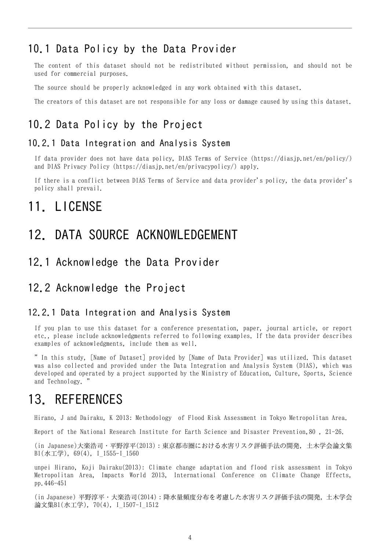### 10.1 Data Policy by the Data Provider

The content of this dataset should not be redistributed without permission, and should not be used for commercial purposes.

The source should be properly acknowledged in any work obtained with this dataset.

The creators of this dataset are not responsible for any loss or damage caused by using this dataset.

### 10.2 Data Policy by the Project

#### 10.2.1 Data Integration and Analysis System

If data provider does not have data policy, DIAS Terms of Service (https://diasjp.net/en/policy/) and DIAS Privacy Policy (https://diasjp.net/en/privacypolicy/) apply.

If there is a conflict between DIAS Terms of Service and data provider's policy, the data provider's policy shall prevail.

## 11. LICENSE

## 12. DATA SOURCE ACKNOWLEDGEMENT

#### 12.1 Acknowledge the Data Provider

### 12.2 Acknowledge the Project

#### 12.2.1 Data Integration and Analysis System

If you plan to use this dataset for a conference presentation, paper, journal article, or report etc., please include acknowledgments referred to following examples. If the data provider describes examples of acknowledgments, include them as well.

" In this study, [Name of Dataset] provided by [Name of Data Provider] was utilized. This dataset was also collected and provided under the Data Integration and Analysis System (DIAS), which was developed and operated by a project supported by the Ministry of Education, Culture, Sports, Science and Technology. "

## 13. REFERENCES

Hirano, J and Dairaku, K 2013: Methodology of Flood Risk Assessment in Tokyo Metropolitan Area.

Report of the National Research Institute for Earth Science and Disaster Prevention,80 , 21-26.

(in Japanese)大楽浩司・平野淳平(2013):東京都市圏における水害リスク評価手法の開発, 土木学会論文集 B1(水工学), 69(4), I\_1555-I\_1560

unpei Hirano, Koji Dairaku(2013): Climate change adaptation and flood risk assessment in Tokyo Metropolitan Area, Impacts World 2013, International Conference on Climate Change Effects, pp.446-451

(in Japanese) 平野淳平・大楽浩司(2014):降水量頻度分布を考慮した水害リスク評価手法の開発, 土木学会 論文集B1(水工学), 70(4), I\_1507-I\_1512